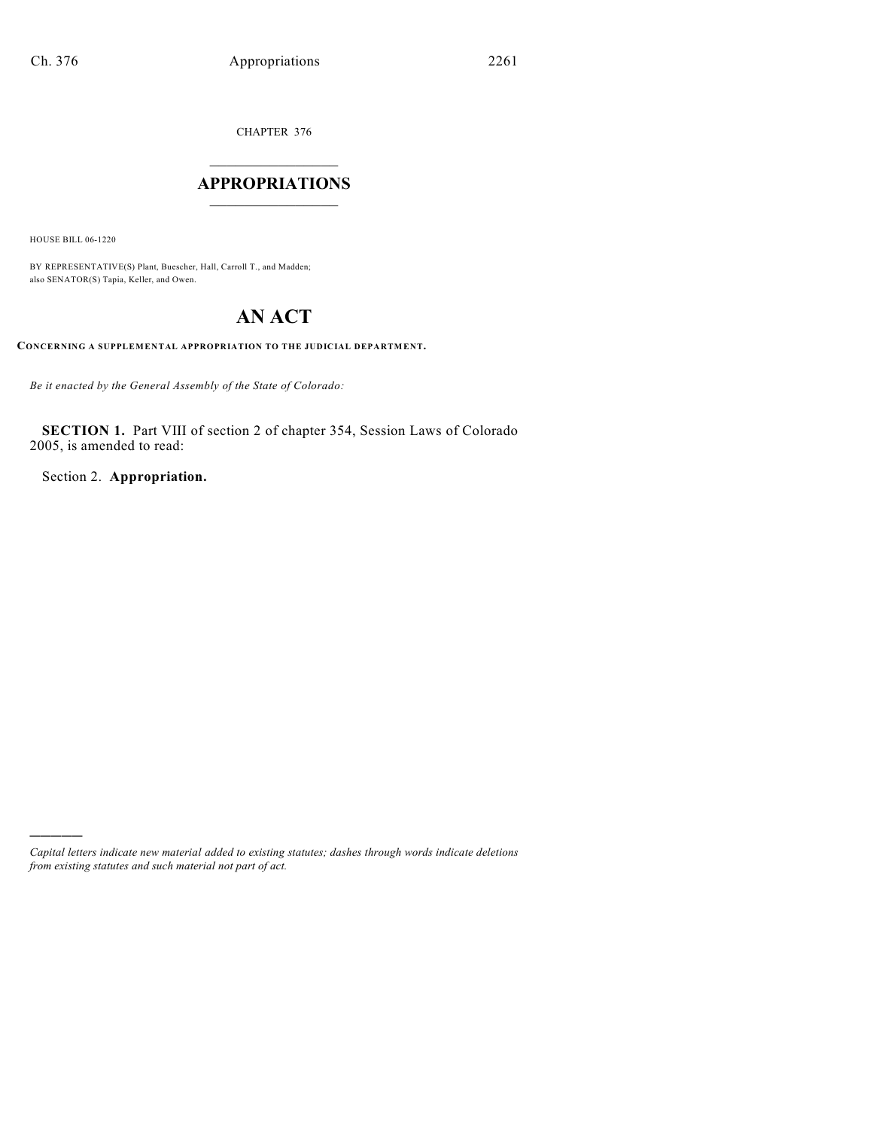CHAPTER 376

# $\overline{\phantom{a}}$  . The set of the set of the set of the set of the set of the set of the set of the set of the set of the set of the set of the set of the set of the set of the set of the set of the set of the set of the set o **APPROPRIATIONS**  $\_$   $\_$   $\_$   $\_$   $\_$   $\_$   $\_$   $\_$

HOUSE BILL 06-1220

)))))

BY REPRESENTATIVE(S) Plant, Buescher, Hall, Carroll T., and Madden; also SENATOR(S) Tapia, Keller, and Owen.

# **AN ACT**

**CONCERNING A SUPPLEMENTAL APPROPRIATION TO THE JUDICIAL DEPARTMENT.**

*Be it enacted by the General Assembly of the State of Colorado:*

**SECTION 1.** Part VIII of section 2 of chapter 354, Session Laws of Colorado 2005, is amended to read:

Section 2. **Appropriation.**

*Capital letters indicate new material added to existing statutes; dashes through words indicate deletions from existing statutes and such material not part of act.*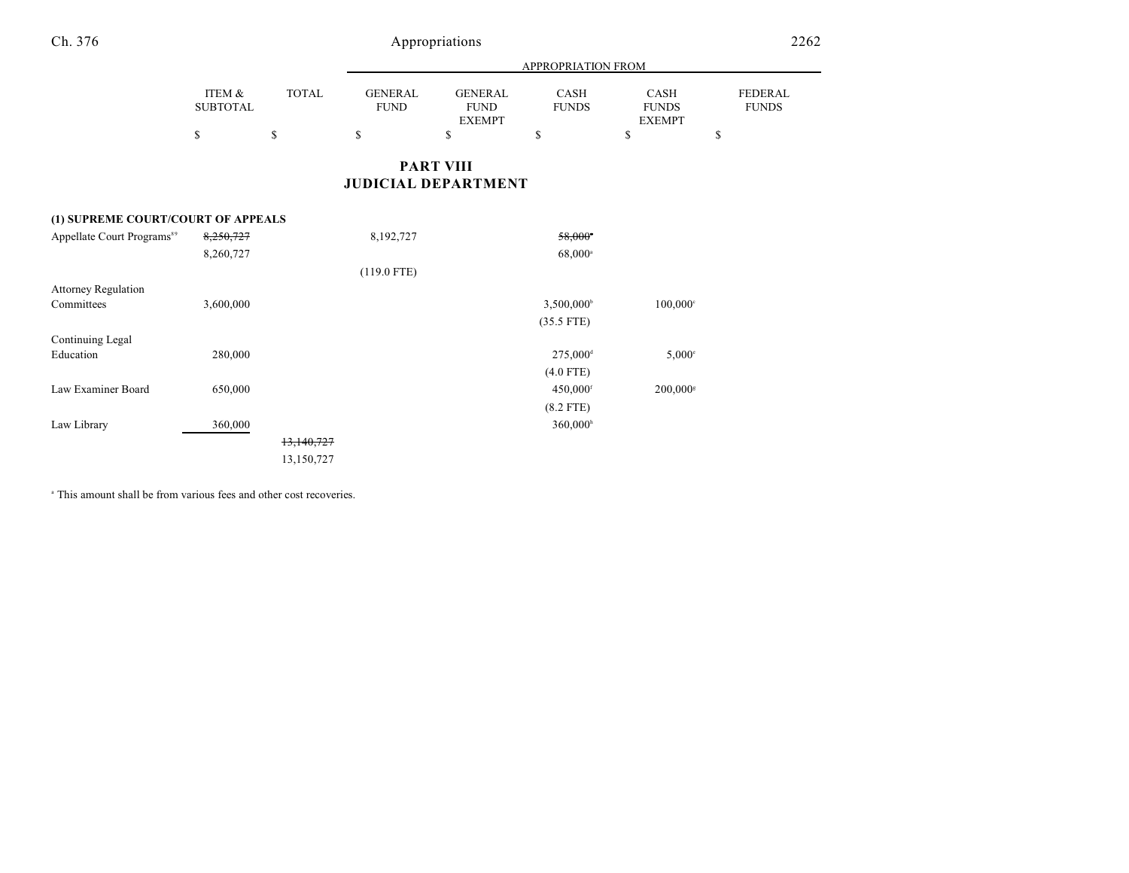|                 |              | APPROPRIATION FROM |                |              |               |                |
|-----------------|--------------|--------------------|----------------|--------------|---------------|----------------|
|                 |              |                    |                |              |               |                |
| ITEM &          | <b>TOTAL</b> | GENERAL            | <b>GENERAL</b> | <b>CASH</b>  | CASH          | <b>FEDERAL</b> |
| <b>SUBTOTAL</b> |              | <b>FUND</b>        | <b>FUND</b>    | <b>FUNDS</b> | <b>FUNDS</b>  | <b>FUNDS</b>   |
|                 |              |                    | EXEMPT         |              | <b>EXEMPT</b> |                |
|                 |              | S                  |                |              |               |                |

# **PART VIII JUDICIAL DEPARTMENT**

### **(1) SUPREME COURT/COURT OF APPEALS**

| Appellate Court Programs <sup>89</sup> | 8,250,727 |            | 8,192,727     | 58,000*                |                        |
|----------------------------------------|-----------|------------|---------------|------------------------|------------------------|
|                                        | 8,260,727 |            |               | $68,000^{\circ}$       |                        |
|                                        |           |            | $(119.0$ FTE) |                        |                        |
| <b>Attorney Regulation</b>             |           |            |               |                        |                        |
| Committees                             | 3,600,000 |            |               | $3,500,000^{\circ}$    | $100,000$ <sup>c</sup> |
|                                        |           |            |               | $(35.5$ FTE)           |                        |
| Continuing Legal                       |           |            |               |                        |                        |
| Education                              | 280,000   |            |               | 275,000 <sup>d</sup>   | $5,000^\circ$          |
|                                        |           |            |               | $(4.0$ FTE)            |                        |
| Law Examiner Board                     | 650,000   |            |               | 450,000 <sup>f</sup>   | 200,000s               |
|                                        |           |            |               | $(8.2$ FTE)            |                        |
| Law Library                            | 360,000   |            |               | $360,000$ <sup>h</sup> |                        |
|                                        |           | 13,140,727 |               |                        |                        |
|                                        |           | 13,150,727 |               |                        |                        |

<sup>a</sup> This amount shall be from various fees and other cost recoveries.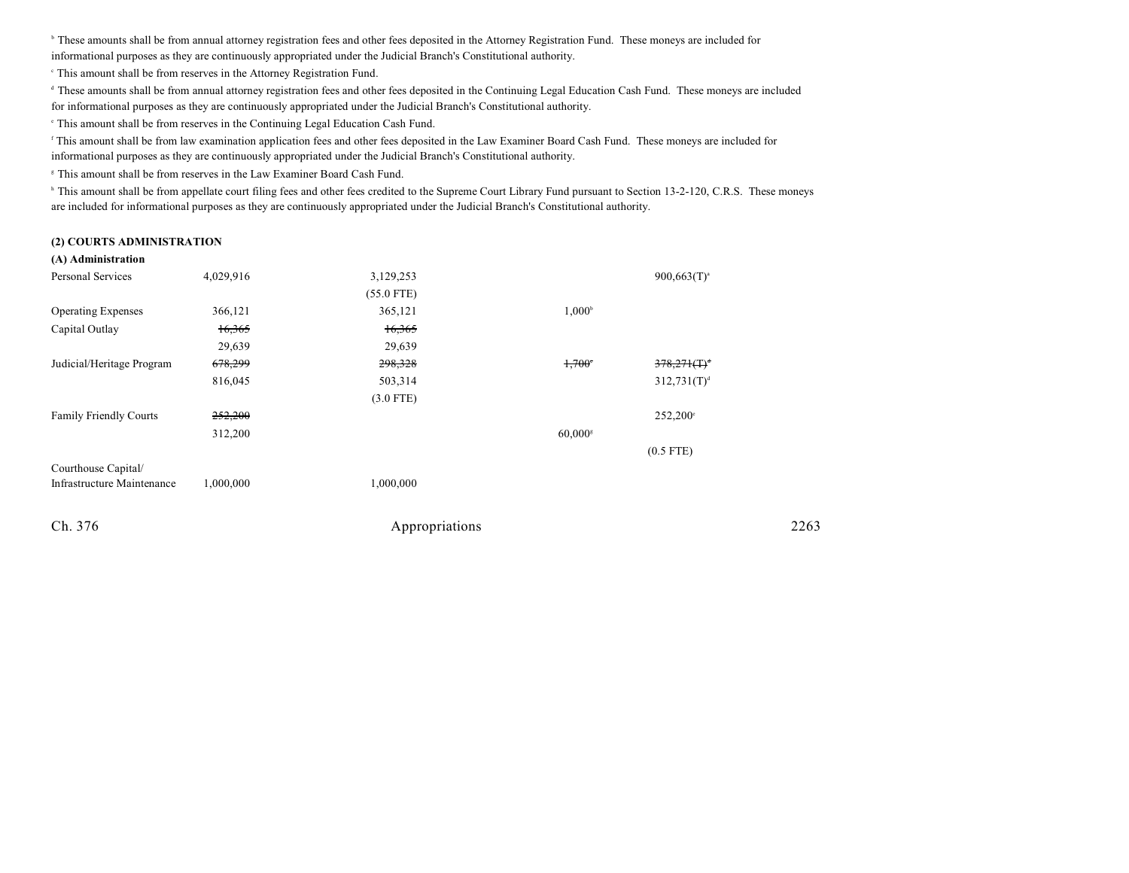<sup>b</sup> These amounts shall be from annual attorney registration fees and other fees deposited in the Attorney Registration Fund. These moneys are included for informational purposes as they are continuously appropriated under the Judicial Branch's Constitutional authority.

This amount shall be from reserves in the Attorney Registration Fund. <sup>c</sup>

<sup>d</sup> These amounts shall be from annual attorney registration fees and other fees deposited in the Continuing Legal Education Cash Fund. These moneys are included

for informational purposes as they are continuously appropriated under the Judicial Branch's Constitutional authority.

 $\degree$  This amount shall be from reserves in the Continuing Legal Education Cash Fund.

<sup>r</sup> This amount shall be from law examination application fees and other fees deposited in the Law Examiner Board Cash Fund. These moneys are included for informational purposes as they are continuously appropriated under the Judicial Branch's Constitutional authority.

<sup>8</sup> This amount shall be from reserves in the Law Examiner Board Cash Fund.

<sup>h</sup> This amount shall be from appellate court filing fees and other fees credited to the Supreme Court Library Fund pursuant to Section 13-2-120, C.R.S. These moneys are included for informational purposes as they are continuously appropriated under the Judicial Branch's Constitutional authority.

### **(2) COURTS ADMINISTRATION**

### **(A) Administration**

| 4,029,916 | 3,129,253    |                       | $900,663(T)^{a}$           |      |
|-----------|--------------|-----------------------|----------------------------|------|
|           | $(55.0$ FTE) |                       |                            |      |
| 366,121   | 365,121      | $1,000^{\rm b}$       |                            |      |
| 16,365    | 16,365       |                       |                            |      |
| 29,639    | 29,639       |                       |                            |      |
| 678,299   | 298,328      | $1,700^{\circ}$       | $378,271($ T) <sup>d</sup> |      |
| 816,045   | 503,314      |                       | 312,731(T) <sup>d</sup>    |      |
|           | $(3.0$ FTE)  |                       |                            |      |
| 252,200   |              |                       | $252,200^{\circ}$          |      |
| 312,200   |              | $60,000$ <sup>s</sup> |                            |      |
|           |              |                       | $(0.5$ FTE)                |      |
|           |              |                       |                            |      |
| 1,000,000 | 1,000,000    |                       |                            |      |
|           |              |                       |                            | 2263 |
|           |              |                       | Appropriations             |      |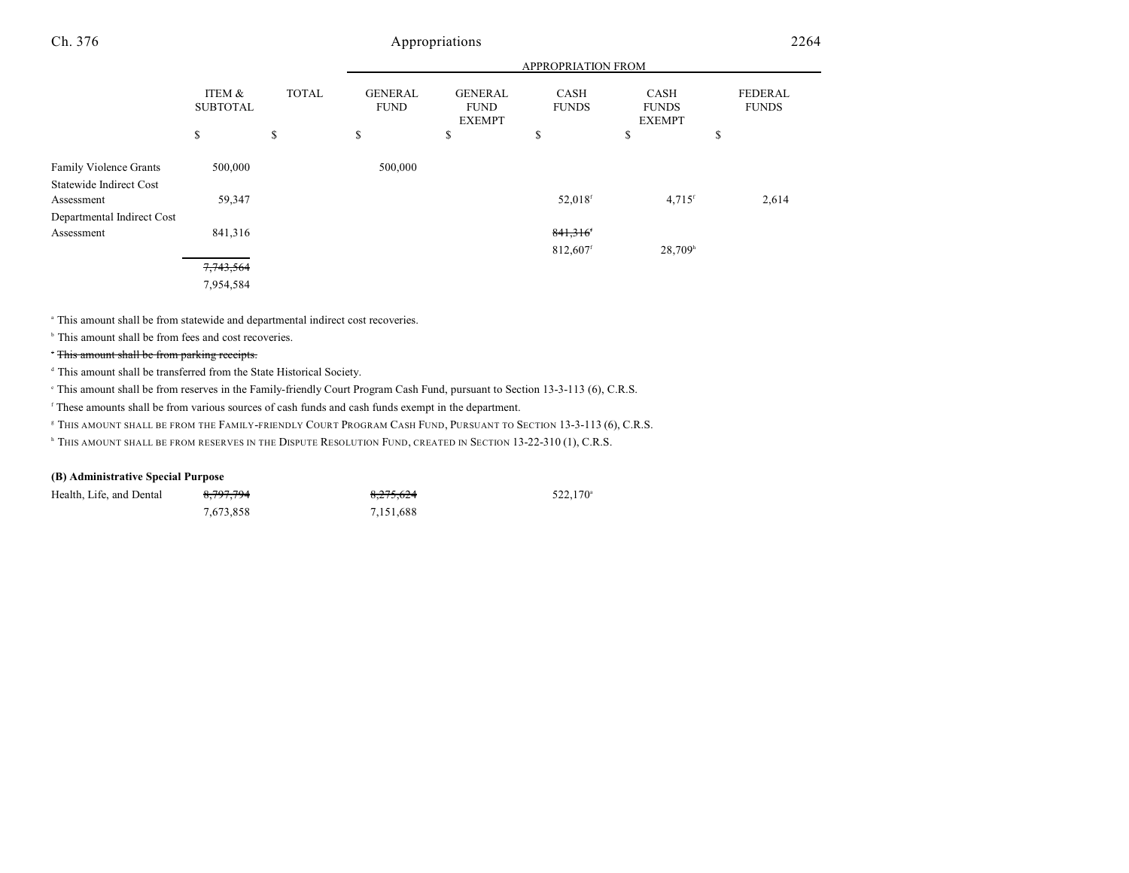|                                |                           |              | <b>APPROPRIATION FROM</b>     |                                                |                             |                                              |                                |
|--------------------------------|---------------------------|--------------|-------------------------------|------------------------------------------------|-----------------------------|----------------------------------------------|--------------------------------|
|                                | ITEM &<br><b>SUBTOTAL</b> | <b>TOTAL</b> | <b>GENERAL</b><br><b>FUND</b> | <b>GENERAL</b><br><b>FUND</b><br><b>EXEMPT</b> | <b>CASH</b><br><b>FUNDS</b> | <b>CASH</b><br><b>FUNDS</b><br><b>EXEMPT</b> | <b>FEDERAL</b><br><b>FUNDS</b> |
|                                | \$                        | \$           | \$                            | \$                                             | \$                          | \$                                           | \$                             |
| <b>Family Violence Grants</b>  | 500,000                   |              | 500,000                       |                                                |                             |                                              |                                |
| <b>Statewide Indirect Cost</b> |                           |              |                               |                                                |                             |                                              |                                |
| Assessment                     | 59,347                    |              |                               |                                                | 52,018 <sup>f</sup>         | $4,715$ <sup>f</sup>                         | 2,614                          |
| Departmental Indirect Cost     |                           |              |                               |                                                |                             |                                              |                                |
| Assessment                     | 841,316                   |              |                               |                                                | 841,316                     |                                              |                                |
|                                |                           |              |                               |                                                | 812,607 <sup>f</sup>        | 28,709h                                      |                                |
|                                | 7,743,564                 |              |                               |                                                |                             |                                              |                                |
|                                | 7,954,584                 |              |                               |                                                |                             |                                              |                                |

This amount shall be from statewide and departmental indirect cost recoveries. <sup>a</sup>

 $\,^{\circ}$  This amount shall be from fees and cost recoveries.

## This amount shall be from parking receipts.

<sup>d</sup> This amount shall be transferred from the State Historical Society.

This amount shall be from reserves in the Family-friendly Court Program Cash Fund, pursuant to Section 13-3-113 (6), C.R.S.

<sup>f</sup> These amounts shall be from various sources of cash funds and cash funds exempt in the department.

<sup>8</sup> THIS AMOUNT SHALL BE FROM THE FAMILY-FRIENDLY COURT PROGRAM CASH FUND, PURSUANT TO SECTION 13-3-113 (6), C.R.S.

**FILIS AMOUNT SHALL BE FROM RESERVES IN THE DISPUTE RESOLUTION FUND, CREATED IN SECTION 13-22-310 (1), C.R.S.** 

### **(B) Administrative Special Purpose**

| Health, Life, and Dental | 8,797,794 | 8,275,624 | 522,170 <sup>a</sup> |
|--------------------------|-----------|-----------|----------------------|
|                          | 7,673,858 | 7,151,688 |                      |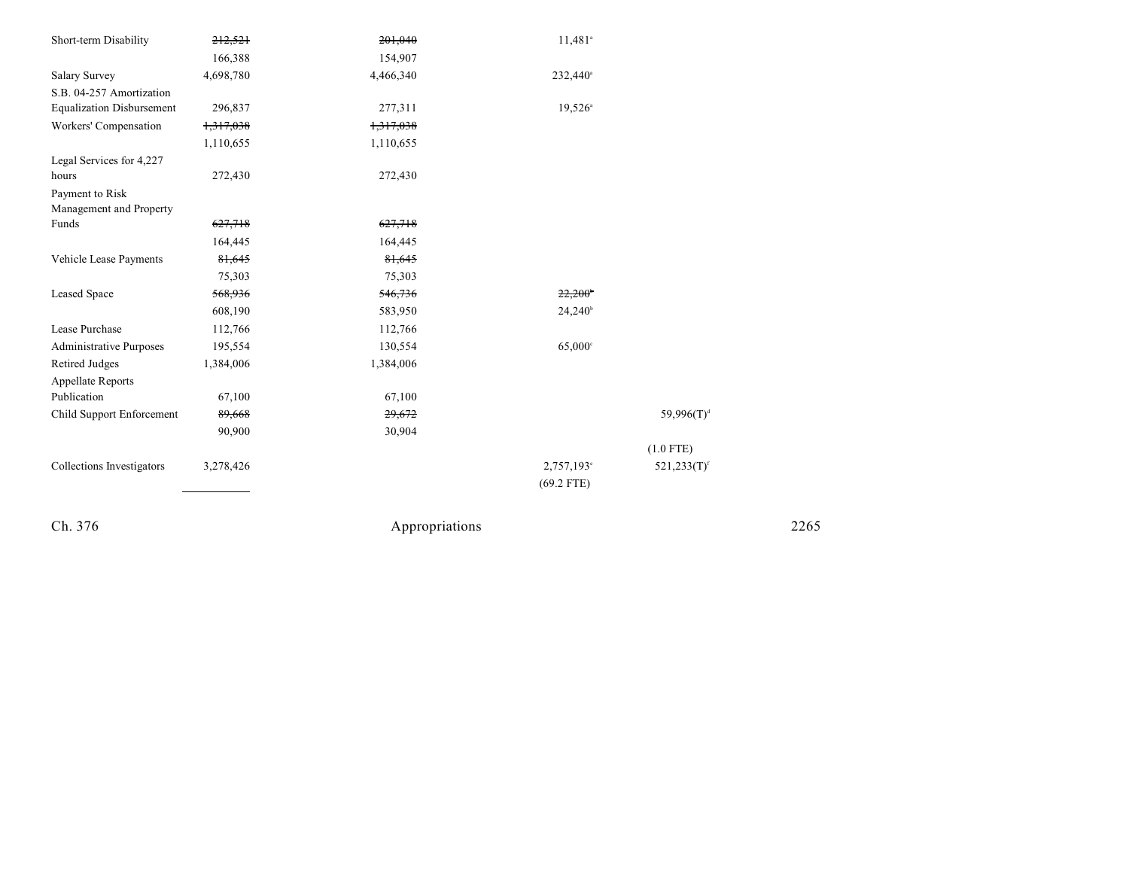| Short-term Disability            | 212,521   | 201,040   | 11,481 <sup>a</sup>   |                           |
|----------------------------------|-----------|-----------|-----------------------|---------------------------|
|                                  | 166,388   | 154,907   |                       |                           |
| <b>Salary Survey</b>             | 4,698,780 | 4,466,340 | 232,440 <sup>a</sup>  |                           |
| S.B. 04-257 Amortization         |           |           |                       |                           |
| <b>Equalization Disbursement</b> | 296,837   | 277,311   | $19,526^{\circ}$      |                           |
| Workers' Compensation            | 1,317,038 | 1,317,038 |                       |                           |
|                                  | 1,110,655 | 1,110,655 |                       |                           |
| Legal Services for 4,227         |           |           |                       |                           |
| hours                            | 272,430   | 272,430   |                       |                           |
| Payment to Risk                  |           |           |                       |                           |
| Management and Property          |           |           |                       |                           |
| Funds                            | 627,718   | 627,718   |                       |                           |
|                                  | 164,445   | 164,445   |                       |                           |
| Vehicle Lease Payments           | 81,645    | 81,645    |                       |                           |
|                                  | 75,303    | 75,303    |                       |                           |
| Leased Space                     | 568,936   | 546,736   | 22,200                |                           |
|                                  | 608,190   | 583,950   | $24,240^{\circ}$      |                           |
| Lease Purchase                   | 112,766   | 112,766   |                       |                           |
| Administrative Purposes          | 195,554   | 130,554   | $65,000$ <sup>c</sup> |                           |
| Retired Judges                   | 1,384,006 | 1,384,006 |                       |                           |
| <b>Appellate Reports</b>         |           |           |                       |                           |
| Publication                      | 67,100    | 67,100    |                       |                           |
| Child Support Enforcement        | 89,668    | 29,672    |                       | $59,996(T)^d$             |
|                                  | 90,900    | 30,904    |                       |                           |
|                                  |           |           |                       | $(1.0$ FTE)               |
| Collections Investigators        | 3,278,426 |           | $2,757,193^{\circ}$   | $521,233(T)$ <sup>f</sup> |
|                                  |           |           | $(69.2$ FTE)          |                           |
|                                  |           |           |                       |                           |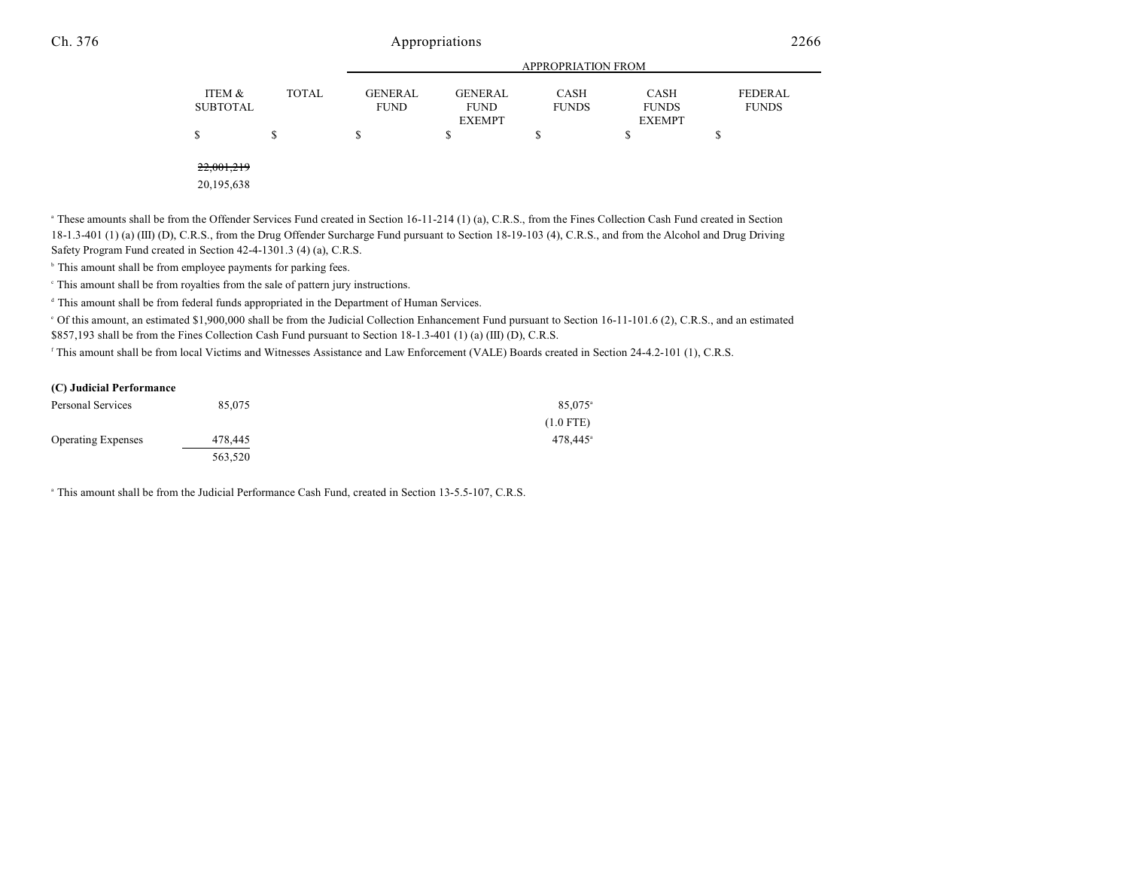|                           |              | <b>APPROPRIATION FROM</b>     |                                                |                      |                                              |                         |
|---------------------------|--------------|-------------------------------|------------------------------------------------|----------------------|----------------------------------------------|-------------------------|
| ITEM &<br><b>SUBTOTAL</b> | <b>TOTAL</b> | <b>GENERAL</b><br><b>FUND</b> | <b>GENERAL</b><br><b>FUND</b><br><b>EXEMPT</b> | CASH<br><b>FUNDS</b> | <b>CASH</b><br><b>FUNDS</b><br><b>EXEMPT</b> | FEDERAL<br><b>FUNDS</b> |
| S                         |              |                               |                                                |                      |                                              | ۰D                      |
|                           |              |                               |                                                |                      |                                              |                         |

22,001,219

20,195,638

<sup>a</sup> These amounts shall be from the Offender Services Fund created in Section 16-11-214 (1) (a), C.R.S., from the Fines Collection Cash Fund created in Section 18-1.3-401 (1) (a) (III) (D), C.R.S., from the Drug Offender Surcharge Fund pursuant to Section 18-19-103 (4), C.R.S., and from the Alcohol and Drug Driving Safety Program Fund created in Section 42-4-1301.3 (4) (a), C.R.S.

 $\,^{\circ}$  This amount shall be from employee payments for parking fees.

This amount shall be from royalties from the sale of pattern jury instructions. <sup>c</sup>

<sup>d</sup> This amount shall be from federal funds appropriated in the Department of Human Services.

 Of this amount, an estimated \$1,900,000 shall be from the Judicial Collection Enhancement Fund pursuant to Section 16-11-101.6 (2), C.R.S., and an estimated <sup>e</sup> \$857,193 shall be from the Fines Collection Cash Fund pursuant to Section 18-1.3-401 (1) (a) (III) (D), C.R.S.

This amount shall be from local Victims and Witnesses Assistance and Law Enforcement (VALE) Boards created in Section 24-4.2-101 (1), C.R.S.

### **(C) Judicial Performance**

| Personal Services         | 85,075  | 85,075 <sup>a</sup>  |
|---------------------------|---------|----------------------|
|                           |         | $(1.0$ FTE)          |
| <b>Operating Expenses</b> | 478,445 | 478.445 <sup>a</sup> |
|                           | 563,520 |                      |

<sup>a</sup> This amount shall be from the Judicial Performance Cash Fund, created in Section 13-5.5-107, C.R.S.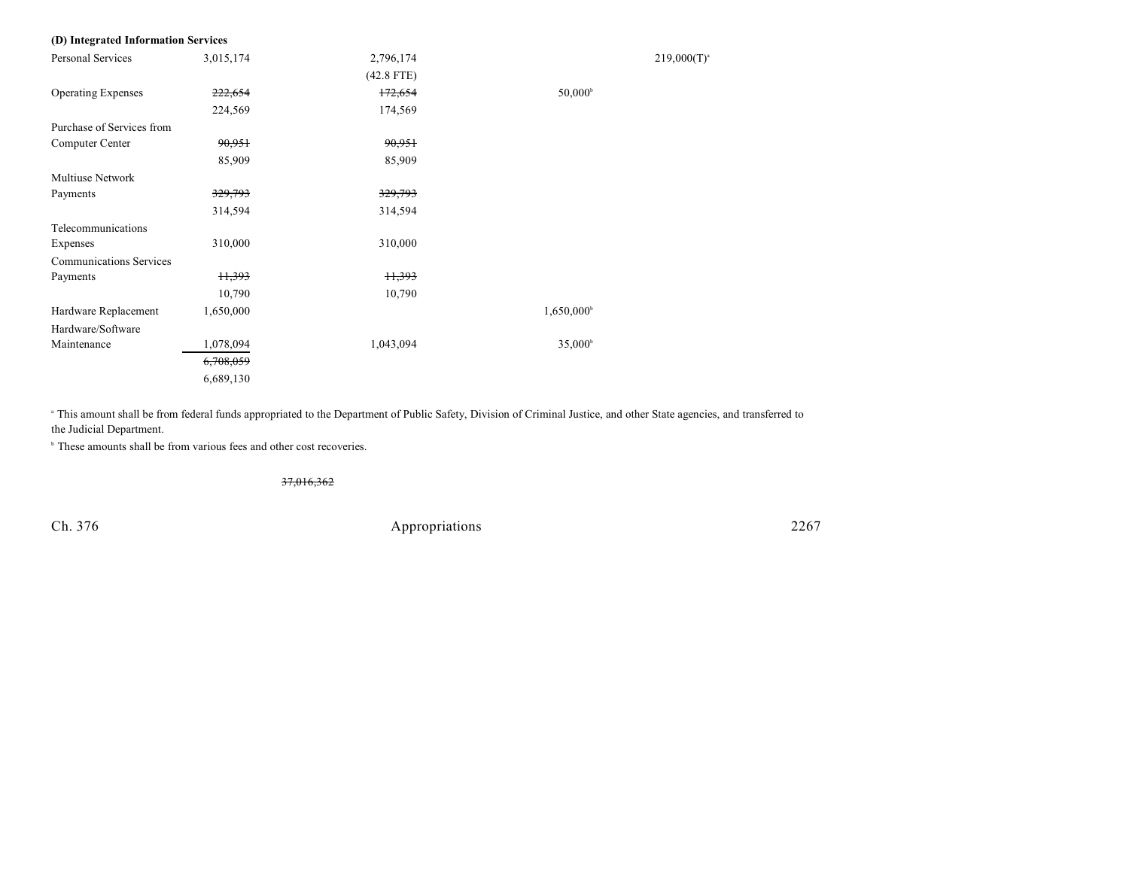| (D) Integrated Information Services |                    |              |                        |                  |
|-------------------------------------|--------------------|--------------|------------------------|------------------|
| Personal Services                   | 3,015,174          | 2,796,174    |                        | $219,000(T)^{a}$ |
|                                     |                    | $(42.8$ FTE) |                        |                  |
| <b>Operating Expenses</b>           | <del>222,654</del> | 172,654      | $50,000^{\rm b}$       |                  |
|                                     | 224,569            | 174,569      |                        |                  |
| Purchase of Services from           |                    |              |                        |                  |
| Computer Center                     | 90,951             | 90,951       |                        |                  |
|                                     | 85,909             | 85,909       |                        |                  |
| <b>Multiuse Network</b>             |                    |              |                        |                  |
| Payments                            | 329,793            | 329,793      |                        |                  |
|                                     | 314,594            | 314,594      |                        |                  |
| Telecommunications                  |                    |              |                        |                  |
| Expenses                            | 310,000            | 310,000      |                        |                  |
| <b>Communications Services</b>      |                    |              |                        |                  |
| Payments                            | H,393              | H,393        |                        |                  |
|                                     | 10,790             | 10,790       |                        |                  |
| Hardware Replacement                | 1,650,000          |              | 1,650,000 <sup>b</sup> |                  |
| Hardware/Software                   |                    |              |                        |                  |
| Maintenance                         | 1,078,094          | 1,043,094    | $35,000^{\circ}$       |                  |
|                                     | 6,708,059          |              |                        |                  |
|                                     | 6,689,130          |              |                        |                  |

<sup>a</sup> This amount shall be from federal funds appropriated to the Department of Public Safety, Division of Criminal Justice, and other State agencies, and transferred to the Judicial Department.

 $\,^{\circ}$  These amounts shall be from various fees and other cost recoveries.

37,016,362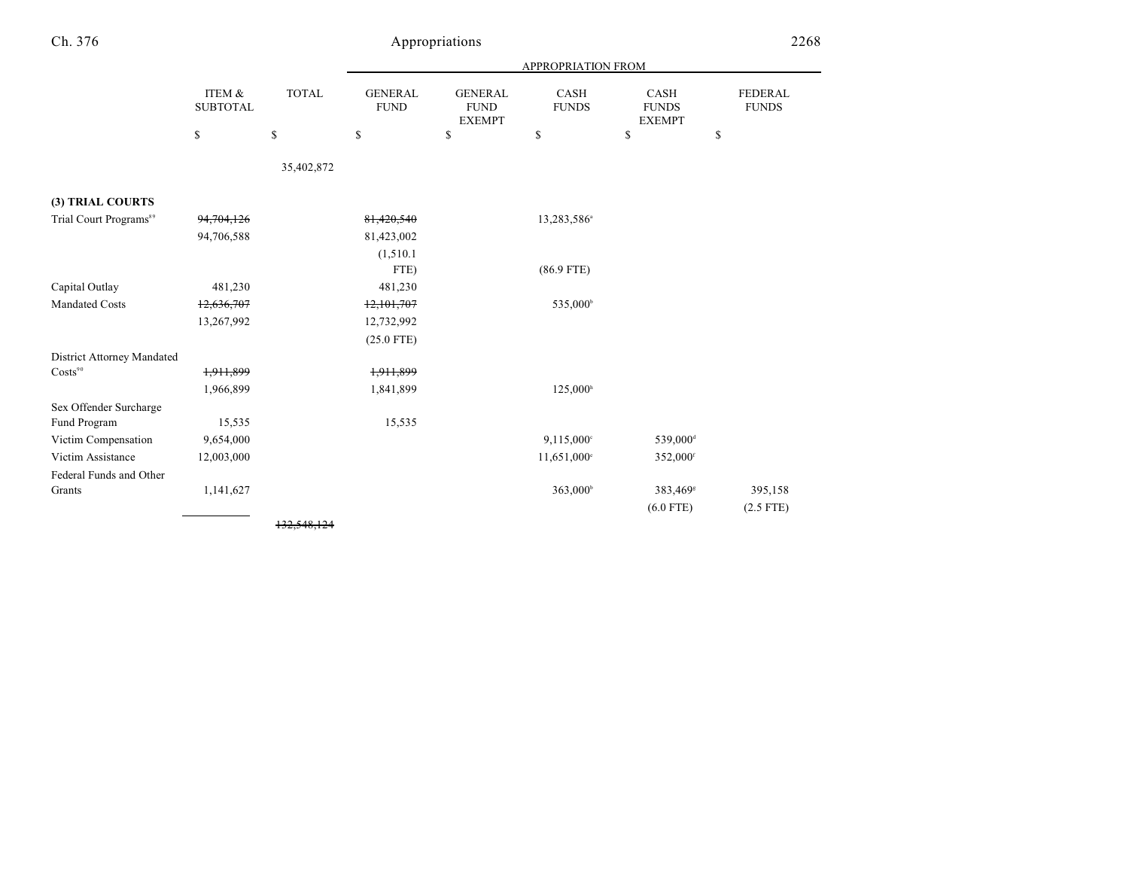| Ch. 376                            |                           |              |                               | Appropriations                                 |                           |                                              | 2268                           |
|------------------------------------|---------------------------|--------------|-------------------------------|------------------------------------------------|---------------------------|----------------------------------------------|--------------------------------|
|                                    |                           |              |                               |                                                | <b>APPROPRIATION FROM</b> |                                              |                                |
|                                    | ITEM &<br><b>SUBTOTAL</b> | <b>TOTAL</b> | <b>GENERAL</b><br><b>FUND</b> | <b>GENERAL</b><br><b>FUND</b><br><b>EXEMPT</b> | CASH<br><b>FUNDS</b>      | <b>CASH</b><br><b>FUNDS</b><br><b>EXEMPT</b> | <b>FEDERAL</b><br><b>FUNDS</b> |
|                                    | \$                        | \$           | \$                            | \$                                             | \$                        | \$                                           | \$                             |
|                                    |                           | 35,402,872   |                               |                                                |                           |                                              |                                |
| (3) TRIAL COURTS                   |                           |              |                               |                                                |                           |                                              |                                |
| Trial Court Programs <sup>89</sup> | 94,704,126                |              | 81,420,540                    |                                                | 13,283,586 <sup>a</sup>   |                                              |                                |
|                                    | 94,706,588                |              | 81,423,002                    |                                                |                           |                                              |                                |
|                                    |                           |              | (1,510.1)                     |                                                |                           |                                              |                                |
|                                    |                           |              | FTE)                          |                                                | $(86.9$ FTE)              |                                              |                                |
| Capital Outlay                     | 481,230                   |              | 481,230                       |                                                |                           |                                              |                                |
| <b>Mandated Costs</b>              | 12,636,707                |              | 12,101,707                    |                                                | 535,000 <sup>b</sup>      |                                              |                                |
|                                    | 13,267,992                |              | 12,732,992                    |                                                |                           |                                              |                                |
|                                    |                           |              | $(25.0$ FTE)                  |                                                |                           |                                              |                                |
| <b>District Attorney Mandated</b>  |                           |              |                               |                                                |                           |                                              |                                |
| Costs <sup>90</sup>                | 1,911,899                 |              | 1,911,899                     |                                                |                           |                                              |                                |
|                                    | 1,966,899                 |              | 1,841,899                     |                                                | 125,000 <sup>h</sup>      |                                              |                                |
| Sex Offender Surcharge             |                           |              |                               |                                                |                           |                                              |                                |
| Fund Program                       | 15,535                    |              | 15,535                        |                                                |                           |                                              |                                |
| Victim Compensation                | 9,654,000                 |              |                               |                                                | 9,115,000 <sup>c</sup>    | 539,000 <sup>d</sup>                         |                                |
| Victim Assistance                  | 12,003,000                |              |                               |                                                | 11,651,000°               | 352,000 <sup>f</sup>                         |                                |
| Federal Funds and Other            |                           |              |                               |                                                |                           |                                              |                                |
| Grants                             | 1,141,627                 |              |                               |                                                | 363,000 <sup>b</sup>      | 383,469 <sup>s</sup>                         | 395,158                        |
|                                    |                           |              |                               |                                                |                           | $(6.0$ FTE)                                  | $(2.5$ FTE)                    |
|                                    |                           | 132.548.124  |                               |                                                |                           |                                              |                                |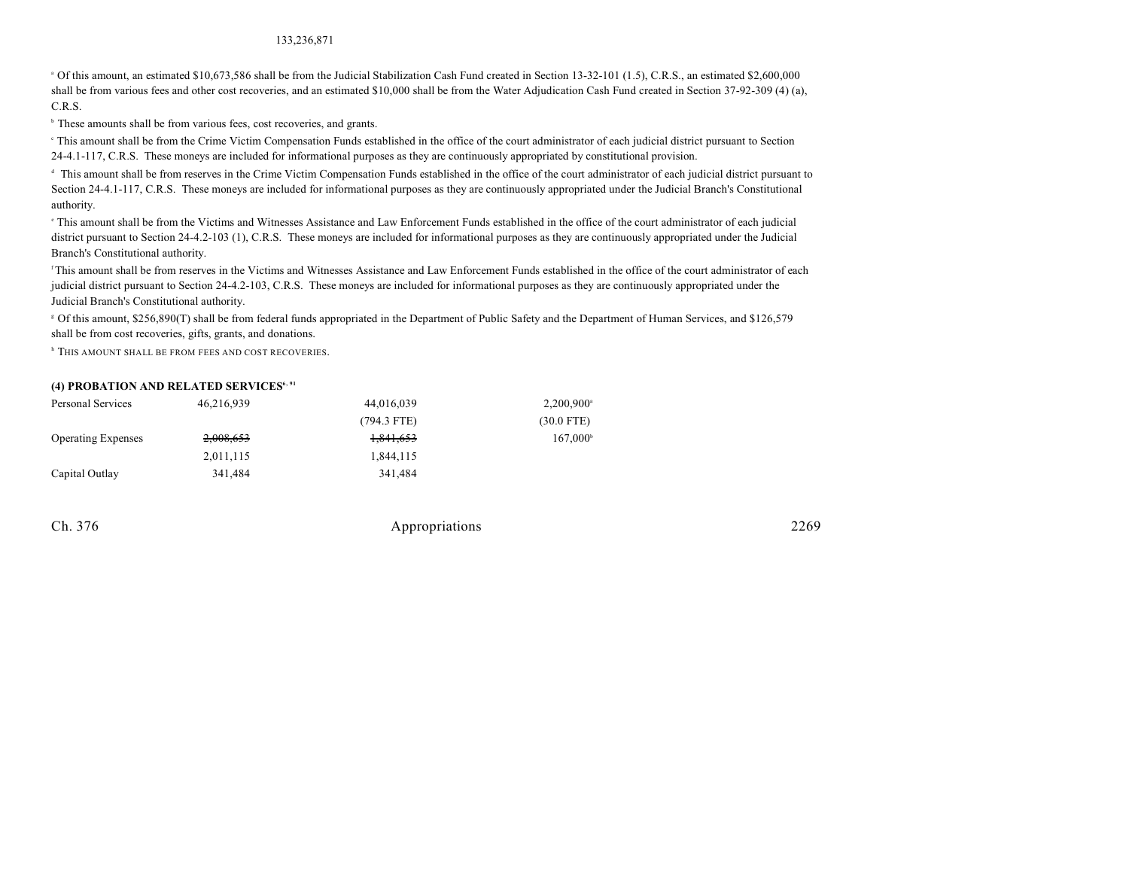### 133,236,871

<sup>a</sup> Of this amount, an estimated \$10,673,586 shall be from the Judicial Stabilization Cash Fund created in Section 13-32-101 (1.5), C.R.S., an estimated \$2,600,000 shall be from various fees and other cost recoveries, and an estimated \$10,000 shall be from the Water Adjudication Cash Fund created in Section 37-92-309 (4) (a), C.R.S.

<sup>b</sup> These amounts shall be from various fees, cost recoveries, and grants.

 This amount shall be from the Crime Victim Compensation Funds established in the office of the court administrator of each judicial district pursuant to Section <sup>c</sup> 24-4.1-117, C.R.S. These moneys are included for informational purposes as they are continuously appropriated by constitutional provision.

 This amount shall be from reserves in the Crime Victim Compensation Funds established in the office of the court administrator of each judicial district pursuant to d Section 24-4.1-117, C.R.S. These moneys are included for informational purposes as they are continuously appropriated under the Judicial Branch's Constitutional authority.

 This amount shall be from the Victims and Witnesses Assistance and Law Enforcement Funds established in the office of the court administrator of each judicial <sup>e</sup> district pursuant to Section 24-4.2-103 (1), C.R.S. These moneys are included for informational purposes as they are continuously appropriated under the Judicial Branch's Constitutional authority.

<sup>f</sup>This amount shall be from reserves in the Victims and Witnesses Assistance and Law Enforcement Funds established in the office of the court administrator of each judicial district pursuant to Section 24-4.2-103, C.R.S. These moneys are included for informational purposes as they are continuously appropriated under the Judicial Branch's Constitutional authority.

 Of this amount, \$256,890(T) shall be from federal funds appropriated in the Department of Public Safety and the Department of Human Services, and \$126,579 <sup>g</sup> shall be from cost recoveries, gifts, grants, and donations.

**h** This amount shall be from fees and cost recoveries.

### **(4) PROBATION AND RELATED SERVICES6, 91**

| Personal Services         | 46,216,939 | 44,016,039    | $2,200,900^{\circ}$ |
|---------------------------|------------|---------------|---------------------|
|                           |            | $(794.3$ FTE) | $(30.0$ FTE)        |
| <b>Operating Expenses</b> | 2,008,653  | 1,841,653     | $167.000^{\circ}$   |
|                           | 2,011,115  | 1,844,115     |                     |
| Capital Outlay            | 341.484    | 341.484       |                     |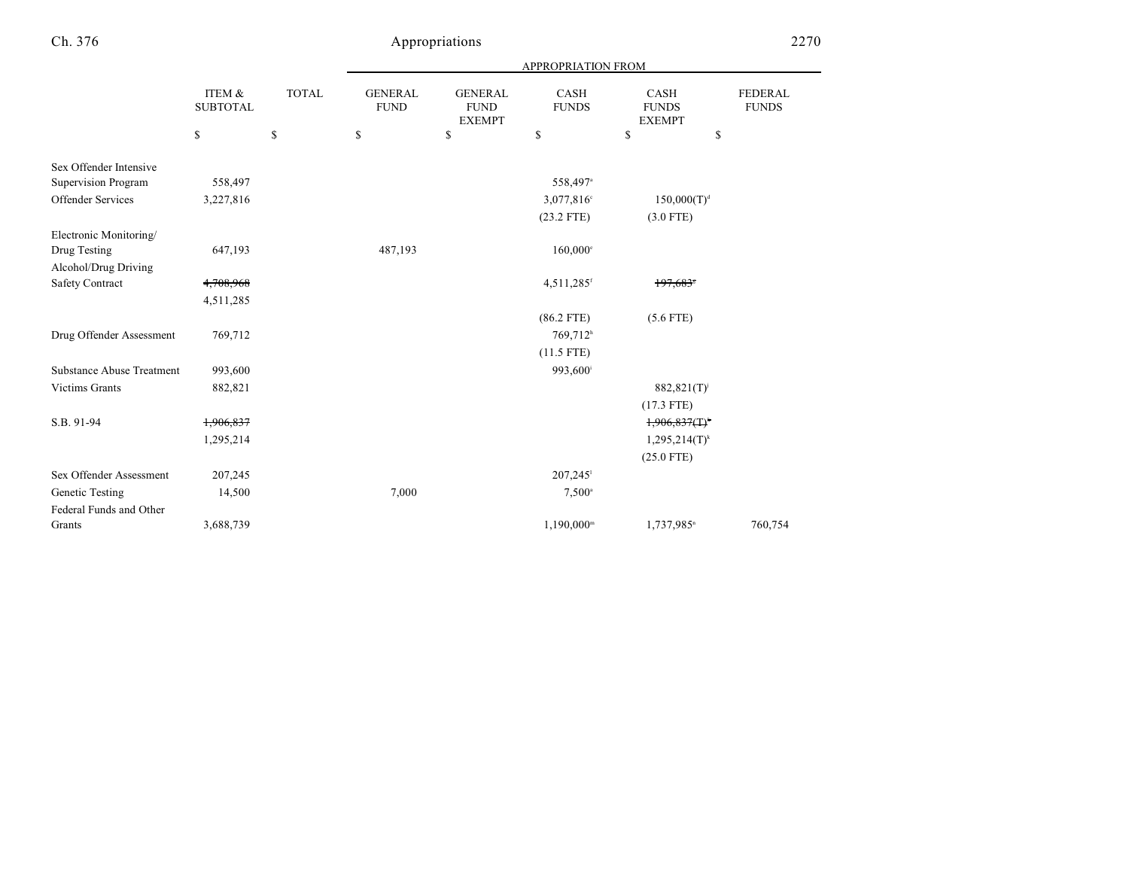|                                  | ITEM &<br><b>TOTAL</b><br><b>SUBTOTAL</b> |    | <b>APPROPRIATION FROM</b>     |                                                |                             |                                       |                                |  |
|----------------------------------|-------------------------------------------|----|-------------------------------|------------------------------------------------|-----------------------------|---------------------------------------|--------------------------------|--|
|                                  |                                           |    | <b>GENERAL</b><br><b>FUND</b> | <b>GENERAL</b><br><b>FUND</b><br><b>EXEMPT</b> | <b>CASH</b><br><b>FUNDS</b> | CASH<br><b>FUNDS</b><br><b>EXEMPT</b> | <b>FEDERAL</b><br><b>FUNDS</b> |  |
|                                  | \$                                        | \$ | \$                            | \$                                             | \$                          | \$                                    | \$                             |  |
| Sex Offender Intensive           |                                           |    |                               |                                                |                             |                                       |                                |  |
| Supervision Program              | 558,497                                   |    |                               |                                                | 558,497 <sup>a</sup>        |                                       |                                |  |
| Offender Services                | 3,227,816                                 |    |                               |                                                | 3,077,816°                  | $150,000(T)^d$                        |                                |  |
|                                  |                                           |    |                               |                                                | $(23.2$ FTE)                | $(3.0$ FTE)                           |                                |  |
| Electronic Monitoring/           |                                           |    |                               |                                                |                             |                                       |                                |  |
| Drug Testing                     | 647,193                                   |    | 487,193                       |                                                | $160,000$ °                 |                                       |                                |  |
| Alcohol/Drug Driving             |                                           |    |                               |                                                |                             |                                       |                                |  |
| Safety Contract                  | 4,708,968                                 |    |                               |                                                | $4,511,285$ <sup>f</sup>    | 197,683*                              |                                |  |
|                                  | 4,511,285                                 |    |                               |                                                |                             |                                       |                                |  |
|                                  |                                           |    |                               |                                                | $(86.2$ FTE)                | $(5.6$ FTE)                           |                                |  |
| Drug Offender Assessment         | 769,712                                   |    |                               |                                                | 769,712 <sup>h</sup>        |                                       |                                |  |
|                                  |                                           |    |                               |                                                | $(11.5$ FTE)                |                                       |                                |  |
| <b>Substance Abuse Treatment</b> | 993,600                                   |    |                               |                                                | 993,600 <sup>i</sup>        |                                       |                                |  |
| <b>Victims Grants</b>            | 882,821                                   |    |                               |                                                |                             | 882,821(T) <sup>j</sup>               |                                |  |
|                                  |                                           |    |                               |                                                |                             | $(17.3$ FTE)                          |                                |  |
| S.B. 91-94                       | 1,906,837                                 |    |                               |                                                |                             | 1,906,837(T)                          |                                |  |
|                                  | 1,295,214                                 |    |                               |                                                |                             | $1,295,214(T)^k$                      |                                |  |
|                                  |                                           |    |                               |                                                |                             | $(25.0$ FTE)                          |                                |  |
| Sex Offender Assessment          | 207,245                                   |    |                               |                                                | $207,245$ <sup>1</sup>      |                                       |                                |  |
| Genetic Testing                  | 14,500                                    |    | 7,000                         |                                                | $7,500^{\circ}$             |                                       |                                |  |
| Federal Funds and Other          |                                           |    |                               |                                                |                             |                                       |                                |  |
| Grants                           | 3,688,739                                 |    |                               |                                                | $1,190,000^{\rm m}$         | 1,737,985 <sup>n</sup>                | 760,754                        |  |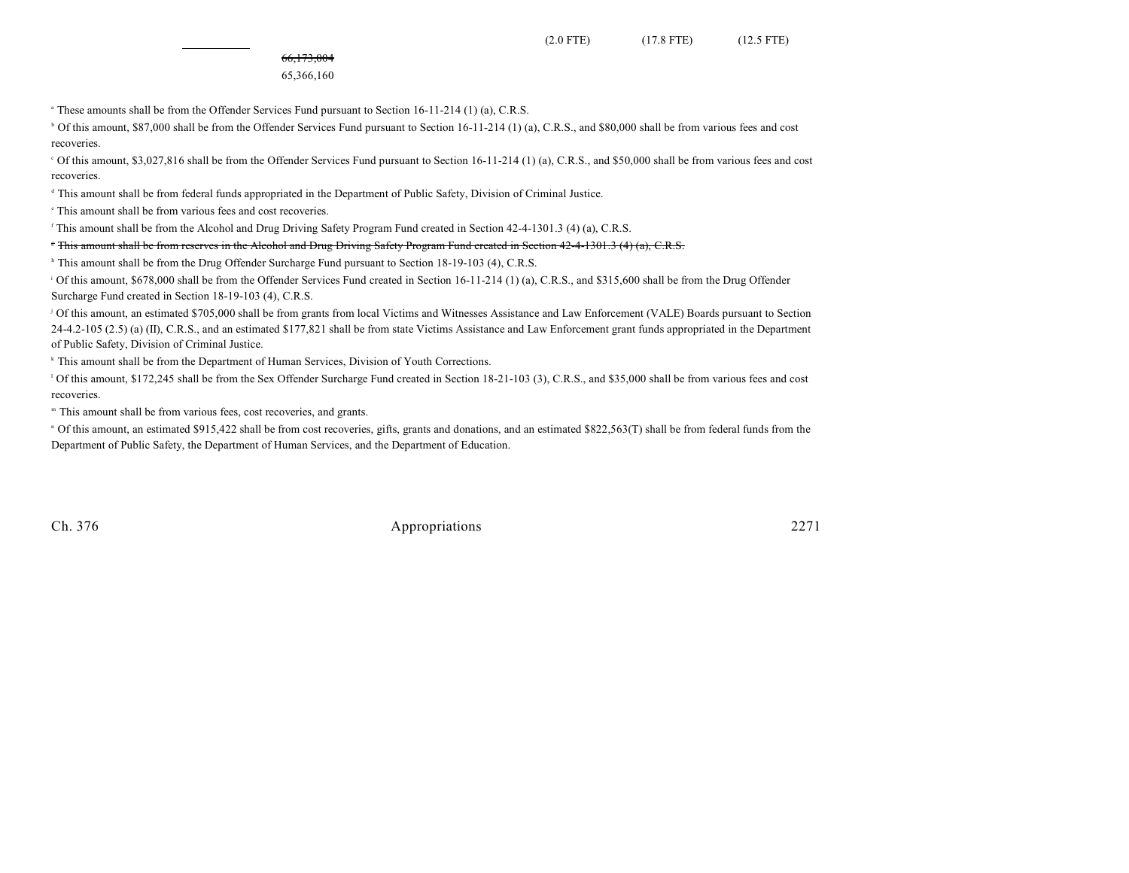66,173,004

### 65,366,160

 $\degree$  These amounts shall be from the Offender Services Fund pursuant to Section 16-11-214 (1) (a), C.R.S.

<sup>b</sup> Of this amount, \$87,000 shall be from the Offender Services Fund pursuant to Section 16-11-214 (1) (a), C.R.S., and \$80,000 shall be from various fees and cost recoveries.

 Of this amount, \$3,027,816 shall be from the Offender Services Fund pursuant to Section 16-11-214 (1) (a), C.R.S., and \$50,000 shall be from various fees and cost <sup>c</sup> recoveries.

<sup>d</sup> This amount shall be from federal funds appropriated in the Department of Public Safety, Division of Criminal Justice.

<sup>e</sup> This amount shall be from various fees and cost recoveries.

<sup>f</sup> This amount shall be from the Alcohol and Drug Driving Safety Program Fund created in Section 42-4-1301.3 (4) (a), C.R.S.

<sup>F</sup> This amount shall be from reserves in the Alcohol and Drug Driving Safety Program Fund created in Section 42-4-1301.3 (4) (a), C.R.S.

<sup>h</sup> This amount shall be from the Drug Offender Surcharge Fund pursuant to Section 18-19-103 (4), C.R.S.

<sup>1</sup> Of this amount, \$678,000 shall be from the Offender Services Fund created in Section 16-11-214 (1) (a), C.R.S., and \$315,600 shall be from the Drug Offender Surcharge Fund created in Section 18-19-103 (4), C.R.S.

<sup>1</sup> Of this amount, an estimated \$705,000 shall be from grants from local Victims and Witnesses Assistance and Law Enforcement (VALE) Boards pursuant to Section  $24-4.2-105$  (2.5) (a) (II), C.R.S., and an estimated \$177,821 shall be from state Victims Assistance and Law Enforcement grant funds appropriated in the Department of Public Safety, Division of Criminal Justice.

<sup>k</sup> This amount shall be from the Department of Human Services, Division of Youth Corrections.

<sup>1</sup> Of this amount, \$172,245 shall be from the Sex Offender Surcharge Fund created in Section 18-21-103 (3), C.R.S., and \$35,000 shall be from various fees and cost recoveries.

<sup>m</sup> This amount shall be from various fees, cost recoveries, and grants.

<sup>n</sup> Of this amount, an estimated \$915,422 shall be from cost recoveries, gifts, grants and donations, and an estimated \$822,563(T) shall be from federal funds from the Department of Public Safety, the Department of Human Services, and the Department of Education.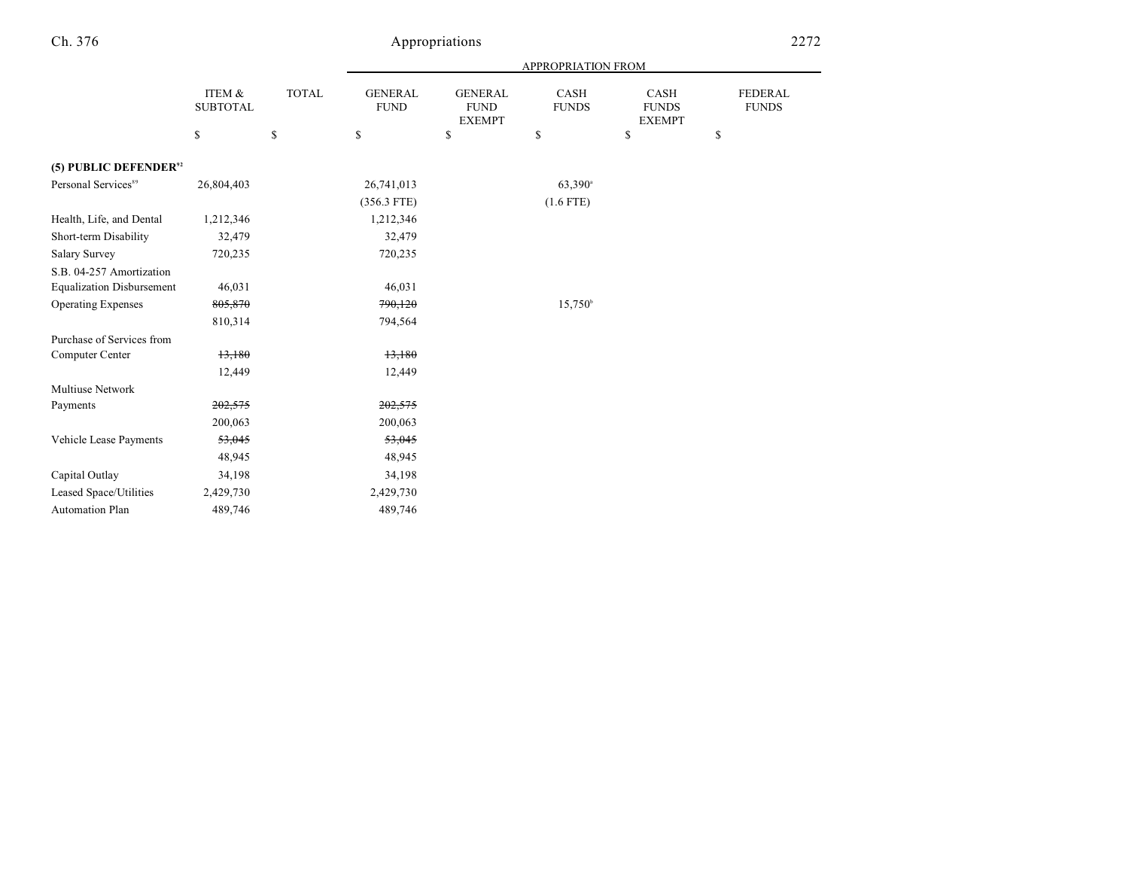|                                   |                           |              | APPROPRIATION FROM            |                                                |                      |                                       |                                |
|-----------------------------------|---------------------------|--------------|-------------------------------|------------------------------------------------|----------------------|---------------------------------------|--------------------------------|
|                                   | ITEM &<br><b>SUBTOTAL</b> | <b>TOTAL</b> | <b>GENERAL</b><br><b>FUND</b> | <b>GENERAL</b><br><b>FUND</b><br><b>EXEMPT</b> | CASH<br><b>FUNDS</b> | CASH<br><b>FUNDS</b><br><b>EXEMPT</b> | <b>FEDERAL</b><br><b>FUNDS</b> |
|                                   | \$                        | \$           | \$                            | \$                                             | \$                   | \$                                    | \$                             |
| (5) PUBLIC DEFENDER <sup>92</sup> |                           |              |                               |                                                |                      |                                       |                                |
| Personal Services <sup>89</sup>   | 26,804,403                |              | 26,741,013                    |                                                | 63,390 <sup>a</sup>  |                                       |                                |
|                                   |                           |              | $(356.3$ FTE)                 |                                                | $(1.6$ FTE)          |                                       |                                |
| Health, Life, and Dental          | 1,212,346                 |              | 1,212,346                     |                                                |                      |                                       |                                |
| Short-term Disability             | 32,479                    |              | 32,479                        |                                                |                      |                                       |                                |
| <b>Salary Survey</b>              | 720,235                   |              | 720,235                       |                                                |                      |                                       |                                |
| S.B. 04-257 Amortization          |                           |              |                               |                                                |                      |                                       |                                |
| <b>Equalization Disbursement</b>  | 46,031                    |              | 46,031                        |                                                |                      |                                       |                                |
| <b>Operating Expenses</b>         | 805,870                   |              | 790,120                       |                                                | $15,750^{\circ}$     |                                       |                                |
|                                   | 810,314                   |              | 794,564                       |                                                |                      |                                       |                                |
| Purchase of Services from         |                           |              |                               |                                                |                      |                                       |                                |
| Computer Center                   | 13,180                    |              | 13,180                        |                                                |                      |                                       |                                |
|                                   | 12,449                    |              | 12,449                        |                                                |                      |                                       |                                |
| <b>Multiuse Network</b>           |                           |              |                               |                                                |                      |                                       |                                |
| Payments                          | 202,575                   |              | 202,575                       |                                                |                      |                                       |                                |
|                                   | 200,063                   |              | 200,063                       |                                                |                      |                                       |                                |
| Vehicle Lease Payments            | 53,045                    |              | 53,045                        |                                                |                      |                                       |                                |
|                                   | 48,945                    |              | 48,945                        |                                                |                      |                                       |                                |
| Capital Outlay                    | 34,198                    |              | 34,198                        |                                                |                      |                                       |                                |
| Leased Space/Utilities            | 2,429,730                 |              | 2,429,730                     |                                                |                      |                                       |                                |
| <b>Automation Plan</b>            | 489,746                   |              | 489,746                       |                                                |                      |                                       |                                |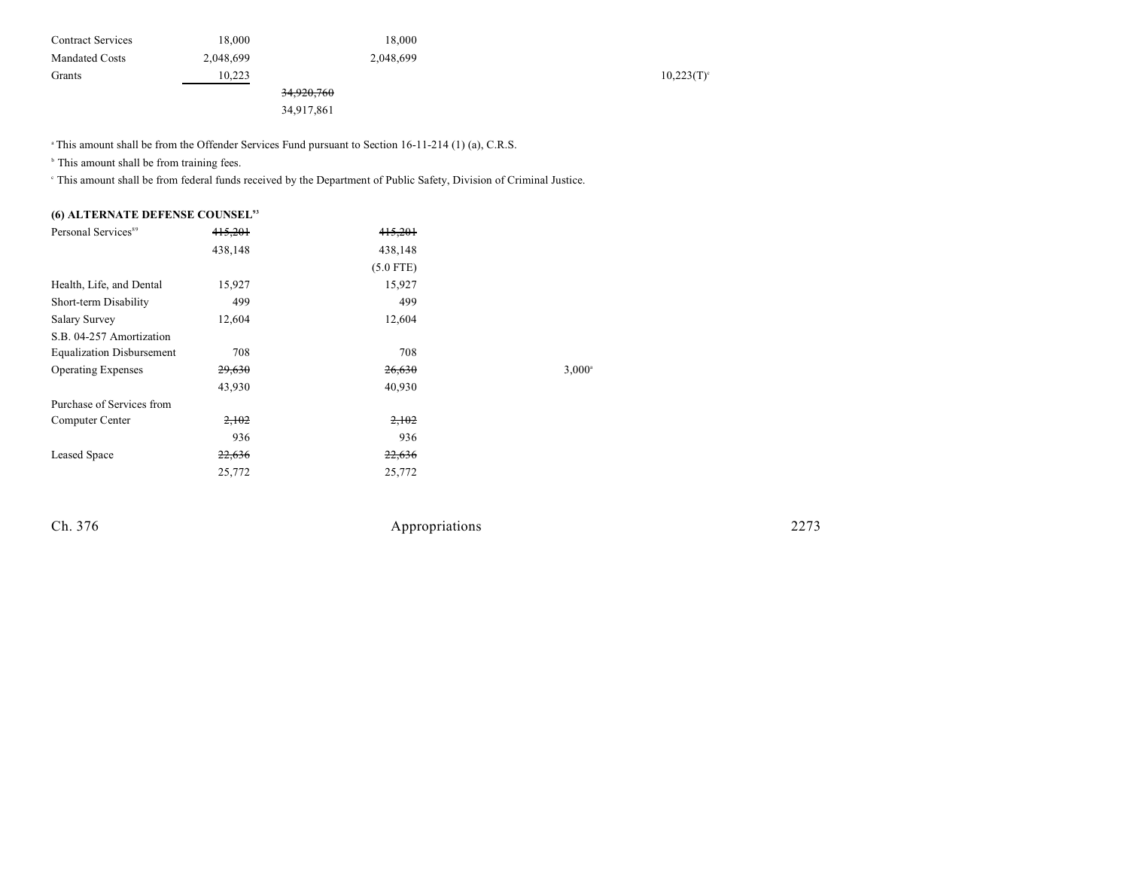| <b>Contract Services</b> | 18.000    |                       | 18.000    |  |           |
|--------------------------|-----------|-----------------------|-----------|--|-----------|
| <b>Mandated Costs</b>    | 2,048,699 |                       | 2,048,699 |  |           |
| Grants                   | 10.223    |                       |           |  | 10,223(T) |
|                          |           | <del>34,920,760</del> |           |  |           |

34,917,861

<sup>a</sup> This amount shall be from the Offender Services Fund pursuant to Section 16-11-214 (1) (a), C.R.S.

 $\,^{\circ}$  This amount shall be from training fees.

This amount shall be from federal funds received by the Department of Public Safety, Division of Criminal Justice. <sup>c</sup>

## **(6) ALTERNATE DEFENSE COUNSEL<sup>93</sup>**

| Personal Services <sup>89</sup>  | 415.201 | 415.201     |                 |
|----------------------------------|---------|-------------|-----------------|
|                                  | 438,148 | 438,148     |                 |
|                                  |         | $(5.0$ FTE) |                 |
| Health, Life, and Dental         | 15,927  | 15,927      |                 |
| Short-term Disability            | 499     | 499         |                 |
| <b>Salary Survey</b>             | 12,604  | 12,604      |                 |
| S.B. 04-257 Amortization         |         |             |                 |
| <b>Equalization Disbursement</b> | 708     | 708         |                 |
| <b>Operating Expenses</b>        | 29,630  | 26,630      | $3,000^{\circ}$ |
|                                  | 43,930  | 40,930      |                 |
| Purchase of Services from        |         |             |                 |
| Computer Center                  | 2,102   | 2,102       |                 |
|                                  | 936     | 936         |                 |
| Leased Space                     | 22,636  | 22,636      |                 |
|                                  | 25,772  | 25,772      |                 |
|                                  |         |             |                 |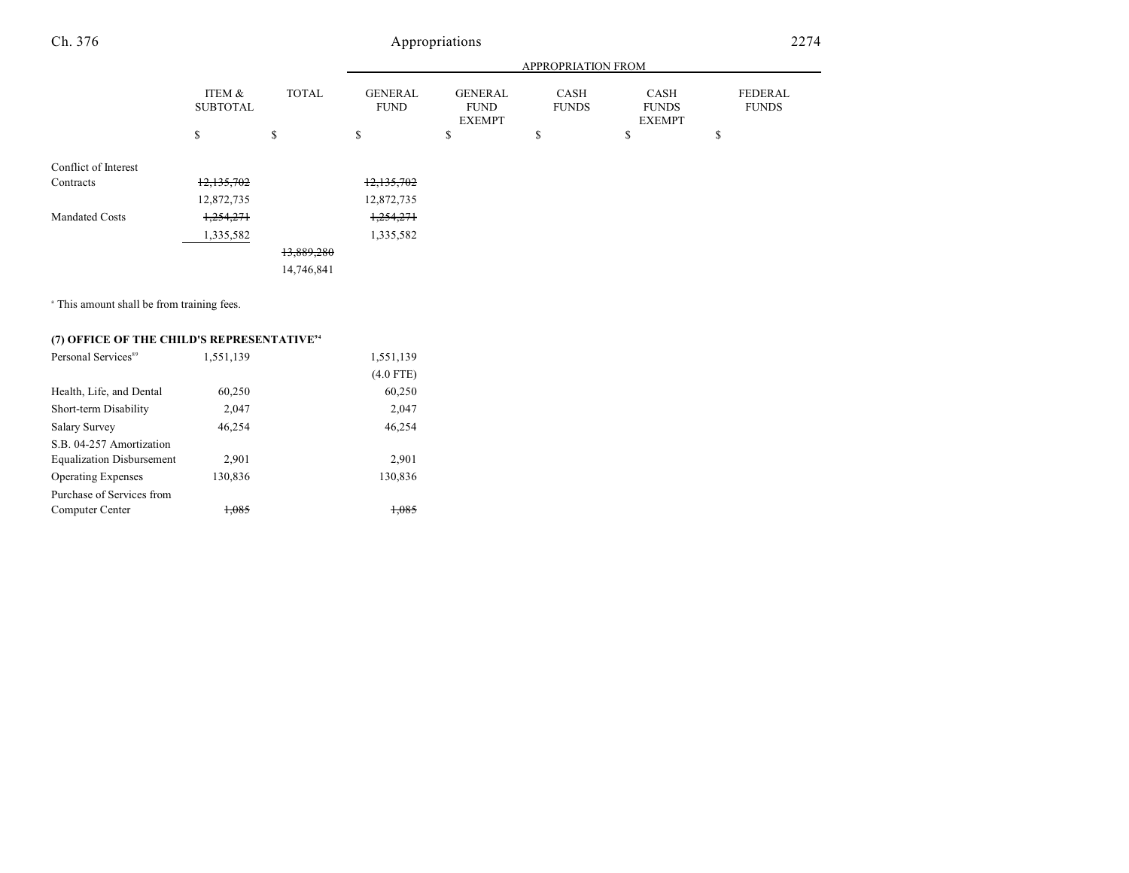|                       |                           | APPROPRIATION FROM |                               |                                                |                             |                                       |                                |
|-----------------------|---------------------------|--------------------|-------------------------------|------------------------------------------------|-----------------------------|---------------------------------------|--------------------------------|
|                       | ITEM &<br><b>SUBTOTAL</b> | <b>TOTAL</b>       | <b>GENERAL</b><br><b>FUND</b> | <b>GENERAL</b><br><b>FUND</b><br><b>EXEMPT</b> | <b>CASH</b><br><b>FUNDS</b> | CASH<br><b>FUNDS</b><br><b>EXEMPT</b> | <b>FEDERAL</b><br><b>FUNDS</b> |
|                       | \$                        | \$                 | \$                            | \$                                             | ¢<br>J.                     | \$                                    | \$                             |
| Conflict of Interest  |                           |                    |                               |                                                |                             |                                       |                                |
| Contracts             | 12,135,702                |                    | 12,135,702                    |                                                |                             |                                       |                                |
|                       | 12,872,735                |                    | 12,872,735                    |                                                |                             |                                       |                                |
| <b>Mandated Costs</b> | 1,254,271                 |                    | 1,254,271                     |                                                |                             |                                       |                                |
|                       | 1,335,582                 |                    | 1,335,582                     |                                                |                             |                                       |                                |
|                       |                           | 13,889,280         |                               |                                                |                             |                                       |                                |
|                       |                           | 14,746,841         |                               |                                                |                             |                                       |                                |

<sup>a</sup> This amount shall be from training fees.

## **(7) OFFICE OF THE CHILD'S REPRESENTATIVE<sup>94</sup>**

| Personal Services <sup>89</sup>  | 1,551,139 | 1,551,139   |
|----------------------------------|-----------|-------------|
|                                  |           | $(4.0$ FTE) |
| Health, Life, and Dental         | 60,250    | 60,250      |
| Short-term Disability            | 2,047     | 2,047       |
| Salary Survey                    | 46.254    | 46,254      |
| S.B. 04-257 Amortization         |           |             |
| <b>Equalization Disbursement</b> | 2,901     | 2,901       |
| <b>Operating Expenses</b>        | 130,836   | 130,836     |
| Purchase of Services from        |           |             |
| Computer Center                  | 1.085     | $+085$      |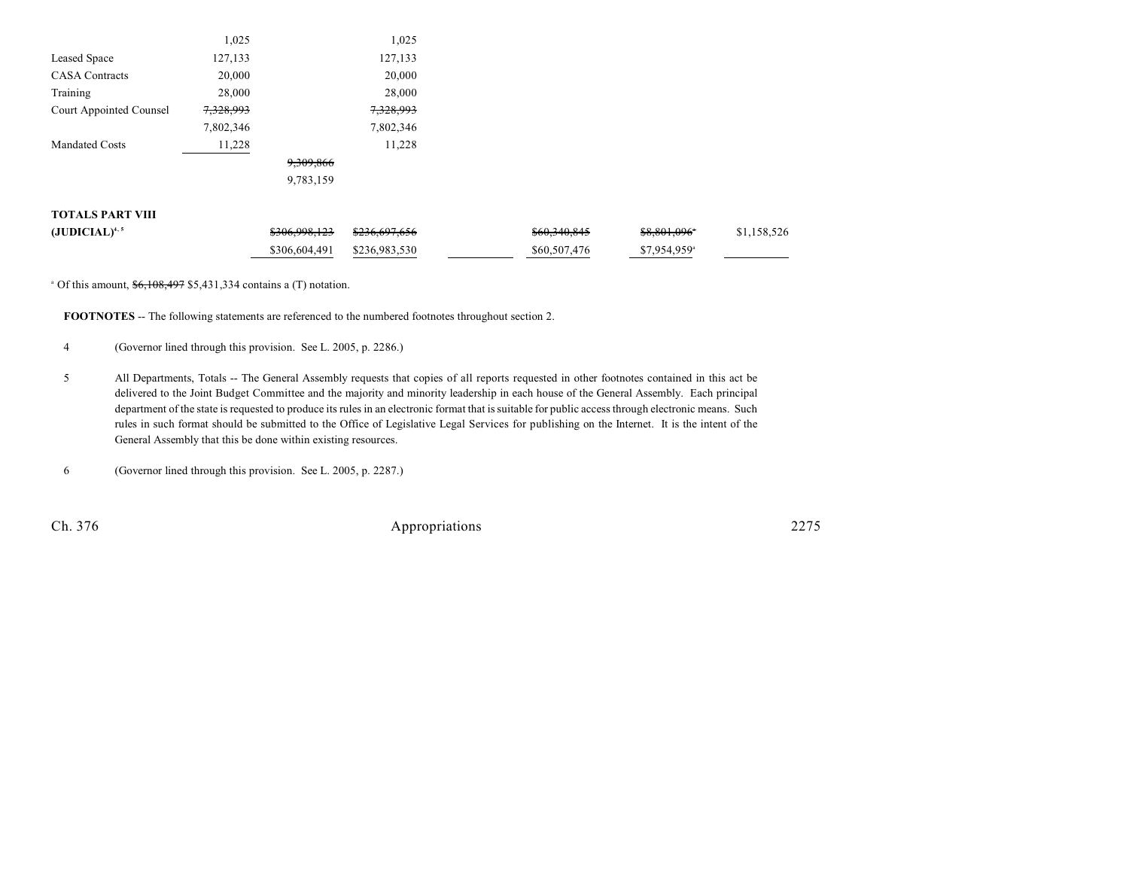|                         | 1,025     |           | 1,025     |  |
|-------------------------|-----------|-----------|-----------|--|
| Leased Space            | 127,133   |           | 127,133   |  |
| <b>CASA</b> Contracts   | 20,000    |           | 20,000    |  |
| Training                | 28,000    |           | 28,000    |  |
| Court Appointed Counsel | 7,328,993 |           | 7,328,993 |  |
|                         | 7,802,346 |           | 7,802,346 |  |
| <b>Mandated Costs</b>   | 11,228    |           | 11,228    |  |
|                         |           | 9,309,866 |           |  |
|                         |           | 9,783,159 |           |  |
|                         |           |           |           |  |

## **TOTALS PART VIII**

| $(JUDICIAL)^{4,5}$ | <del>\$306,998,123</del>    | <del>\$236.697.656</del> | <del>\$60,340,845</del> | \$8,801,096°              | \$1,158,526 |
|--------------------|-----------------------------|--------------------------|-------------------------|---------------------------|-------------|
|                    | \$306,604,491 \$236,983,530 |                          | \$60,507,476            | $$7.954.959$ <sup>a</sup> |             |

 $^{\circ}$  Of this amount,  $$6,108,497$  \$5,431,334 contains a (T) notation.

**FOOTNOTES** -- The following statements are referenced to the numbered footnotes throughout section 2.

4 (Governor lined through this provision. See L. 2005, p. 2286.)

5 All Departments, Totals -- The General Assembly requests that copies of all reports requested in other footnotes contained in this act be delivered to the Joint Budget Committee and the majority and minority leadership in each house of the General Assembly. Each principal department of the state is requested to produce its rules in an electronic format that is suitable for public access through electronic means. Such rules in such format should be submitted to the Office of Legislative Legal Services for publishing on the Internet. It is the intent of the General Assembly that this be done within existing resources.

6 (Governor lined through this provision. See L. 2005, p. 2287.)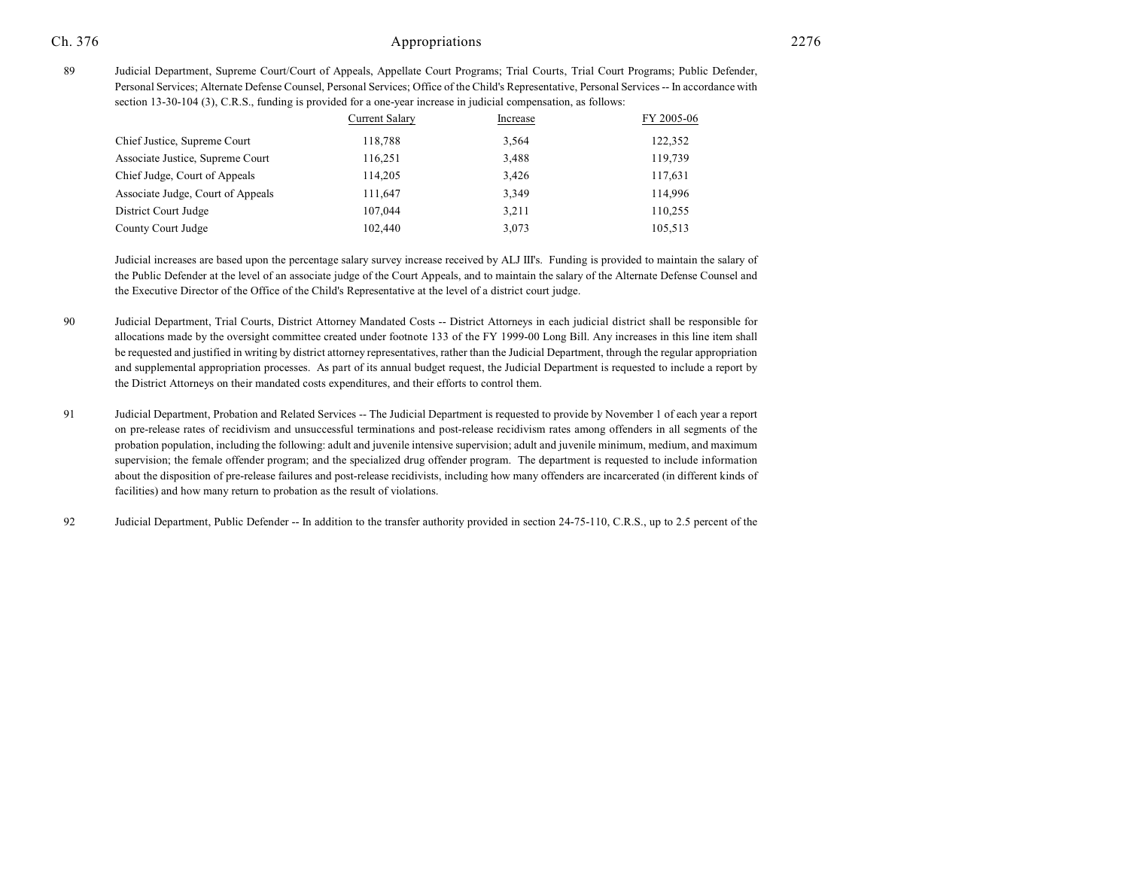89 Judicial Department, Supreme Court/Court of Appeals, Appellate Court Programs; Trial Courts, Trial Court Programs; Public Defender, Personal Services; Alternate Defense Counsel, Personal Services; Office of the Child's Representative, Personal Services -- In accordance with section 13-30-104 (3), C.R.S., funding is provided for a one-year increase in judicial compensation, as follows:

|                                   | <b>Current Salary</b> | Increase | FY 2005-06 |
|-----------------------------------|-----------------------|----------|------------|
| Chief Justice, Supreme Court      | 118,788               | 3,564    | 122,352    |
| Associate Justice, Supreme Court  | 116.251               | 3,488    | 119,739    |
| Chief Judge, Court of Appeals     | 114,205               | 3,426    | 117,631    |
| Associate Judge, Court of Appeals | 111,647               | 3,349    | 114.996    |
| District Court Judge              | 107,044               | 3,211    | 110,255    |
| County Court Judge                | 102.440               | 3,073    | 105.513    |

Judicial increases are based upon the percentage salary survey increase received by ALJ III's. Funding is provided to maintain the salary of the Public Defender at the level of an associate judge of the Court Appeals, and to maintain the salary of the Alternate Defense Counsel and the Executive Director of the Office of the Child's Representative at the level of a district court judge.

- 90 Judicial Department, Trial Courts, District Attorney Mandated Costs -- District Attorneys in each judicial district shall be responsible for allocations made by the oversight committee created under footnote 133 of the FY 1999-00 Long Bill. Any increases in this line item shall be requested and justified in writing by district attorney representatives, rather than the Judicial Department, through the regular appropriation and supplemental appropriation processes. As part of its annual budget request, the Judicial Department is requested to include a report by the District Attorneys on their mandated costs expenditures, and their efforts to control them.
- 91 Judicial Department, Probation and Related Services -- The Judicial Department is requested to provide by November 1 of each year a report on pre-release rates of recidivism and unsuccessful terminations and post-release recidivism rates among offenders in all segments of the probation population, including the following: adult and juvenile intensive supervision; adult and juvenile minimum, medium, and maximum supervision; the female offender program; and the specialized drug offender program. The department is requested to include information about the disposition of pre-release failures and post-release recidivists, including how many offenders are incarcerated (in different kinds of facilities) and how many return to probation as the result of violations.
- 92 Judicial Department, Public Defender -- In addition to the transfer authority provided in section 24-75-110, C.R.S., up to 2.5 percent of the